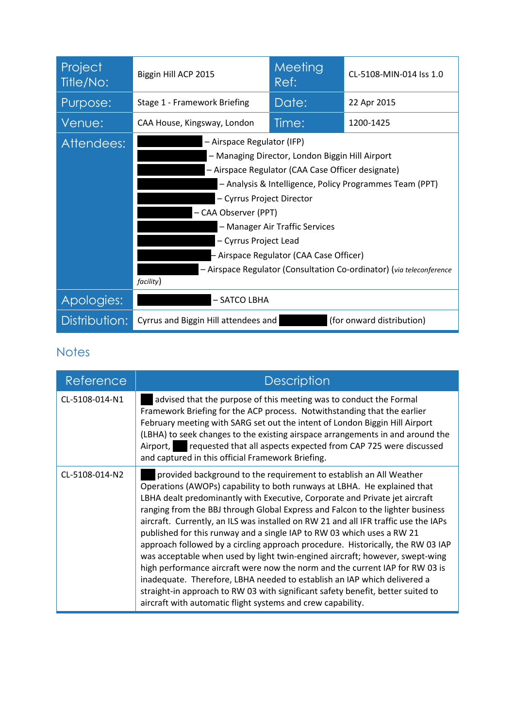| Project<br>Title/No: | Biggin Hill ACP 2015                                                                                                                                                                                                                                                                                                                                                                                                                          | Meeting<br>Ref: | CL-5108-MIN-014 Iss 1.0   |
|----------------------|-----------------------------------------------------------------------------------------------------------------------------------------------------------------------------------------------------------------------------------------------------------------------------------------------------------------------------------------------------------------------------------------------------------------------------------------------|-----------------|---------------------------|
| Purpose:             | Stage 1 - Framework Briefing                                                                                                                                                                                                                                                                                                                                                                                                                  | Date:           | 22 Apr 2015               |
| Venue:               | CAA House, Kingsway, London                                                                                                                                                                                                                                                                                                                                                                                                                   | Time:           | 1200-1425                 |
| Attendees:           | - Airspace Regulator (IFP)<br>- Managing Director, London Biggin Hill Airport<br>- Airspace Regulator (CAA Case Officer designate)<br>- Analysis & Intelligence, Policy Programmes Team (PPT)<br>- Cyrrus Project Director<br>- CAA Observer (PPT)<br>- Manager Air Traffic Services<br>- Cyrrus Project Lead<br>- Airspace Regulator (CAA Case Officer)<br>- Airspace Regulator (Consultation Co-ordinator) (via teleconference<br>facility) |                 |                           |
| Apologies:           | - SATCO LBHA                                                                                                                                                                                                                                                                                                                                                                                                                                  |                 |                           |
| Distribution:        | Cyrrus and Biggin Hill attendees and                                                                                                                                                                                                                                                                                                                                                                                                          |                 | (for onward distribution) |

## **Notes**

| Reference      | <b>Description</b>                                                                                                                                                                                                                                                                                                                                                                                                                                                                                                                                                                                                                                                                                                                                                                                                                                                                                                                                                |
|----------------|-------------------------------------------------------------------------------------------------------------------------------------------------------------------------------------------------------------------------------------------------------------------------------------------------------------------------------------------------------------------------------------------------------------------------------------------------------------------------------------------------------------------------------------------------------------------------------------------------------------------------------------------------------------------------------------------------------------------------------------------------------------------------------------------------------------------------------------------------------------------------------------------------------------------------------------------------------------------|
| CL-5108-014-N1 | advised that the purpose of this meeting was to conduct the Formal<br>Framework Briefing for the ACP process. Notwithstanding that the earlier<br>February meeting with SARG set out the intent of London Biggin Hill Airport<br>(LBHA) to seek changes to the existing airspace arrangements in and around the<br>requested that all aspects expected from CAP 725 were discussed<br>Airport,<br>and captured in this official Framework Briefing.                                                                                                                                                                                                                                                                                                                                                                                                                                                                                                               |
| CL-5108-014-N2 | provided background to the requirement to establish an All Weather<br>Operations (AWOPs) capability to both runways at LBHA. He explained that<br>LBHA dealt predominantly with Executive, Corporate and Private jet aircraft<br>ranging from the BBJ through Global Express and Falcon to the lighter business<br>aircraft. Currently, an ILS was installed on RW 21 and all IFR traffic use the IAPs<br>published for this runway and a single IAP to RW 03 which uses a RW 21<br>approach followed by a circling approach procedure. Historically, the RW 03 IAP<br>was acceptable when used by light twin-engined aircraft; however, swept-wing<br>high performance aircraft were now the norm and the current IAP for RW 03 is<br>inadequate. Therefore, LBHA needed to establish an IAP which delivered a<br>straight-in approach to RW 03 with significant safety benefit, better suited to<br>aircraft with automatic flight systems and crew capability. |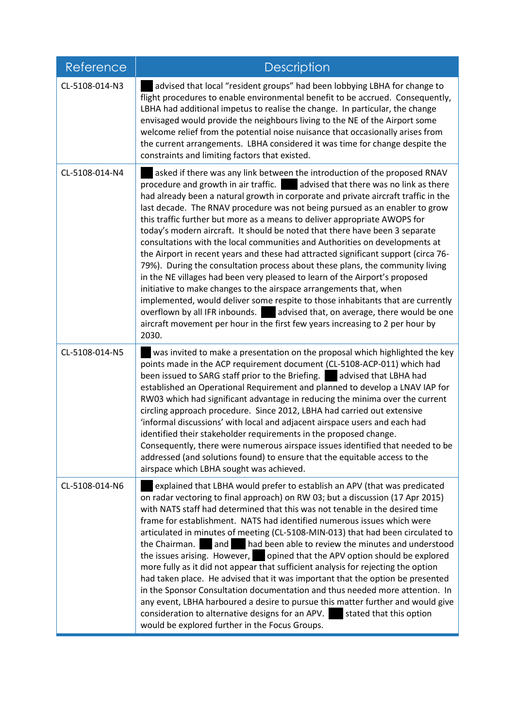| Reference      | <b>Description</b>                                                                                                                                                                                                                                                                                                                                                                                                                                                                                                                                                                                                                                                                                                                                                                                                                                                                                                                                                                                                                                                                                                                                                       |  |  |
|----------------|--------------------------------------------------------------------------------------------------------------------------------------------------------------------------------------------------------------------------------------------------------------------------------------------------------------------------------------------------------------------------------------------------------------------------------------------------------------------------------------------------------------------------------------------------------------------------------------------------------------------------------------------------------------------------------------------------------------------------------------------------------------------------------------------------------------------------------------------------------------------------------------------------------------------------------------------------------------------------------------------------------------------------------------------------------------------------------------------------------------------------------------------------------------------------|--|--|
| CL-5108-014-N3 | advised that local "resident groups" had been lobbying LBHA for change to<br>flight procedures to enable environmental benefit to be accrued. Consequently,<br>LBHA had additional impetus to realise the change. In particular, the change<br>envisaged would provide the neighbours living to the NE of the Airport some<br>welcome relief from the potential noise nuisance that occasionally arises from<br>the current arrangements. LBHA considered it was time for change despite the<br>constraints and limiting factors that existed.                                                                                                                                                                                                                                                                                                                                                                                                                                                                                                                                                                                                                           |  |  |
| CL-5108-014-N4 | asked if there was any link between the introduction of the proposed RNAV<br>procedure and growth in air traffic.<br>advised that there was no link as there<br>had already been a natural growth in corporate and private aircraft traffic in the<br>last decade. The RNAV procedure was not being pursued as an enabler to grow<br>this traffic further but more as a means to deliver appropriate AWOPS for<br>today's modern aircraft. It should be noted that there have been 3 separate<br>consultations with the local communities and Authorities on developments at<br>the Airport in recent years and these had attracted significant support (circa 76-<br>79%). During the consultation process about these plans, the community living<br>in the NE villages had been very pleased to learn of the Airport's proposed<br>initiative to make changes to the airspace arrangements that, when<br>implemented, would deliver some respite to those inhabitants that are currently<br>overflown by all IFR inbounds. and advised that, on average, there would be one<br>aircraft movement per hour in the first few years increasing to 2 per hour by<br>2030. |  |  |
| CL-5108-014-N5 | was invited to make a presentation on the proposal which highlighted the key<br>points made in the ACP requirement document (CL-5108-ACP-011) which had<br>been issued to SARG staff prior to the Briefing. advised that LBHA had<br>established an Operational Requirement and planned to develop a LNAV IAP for<br>RW03 which had significant advantage in reducing the minima over the current<br>circling approach procedure. Since 2012, LBHA had carried out extensive<br>'informal discussions' with local and adjacent airspace users and each had<br>identified their stakeholder requirements in the proposed change.<br>Consequently, there were numerous airspace issues identified that needed to be<br>addressed (and solutions found) to ensure that the equitable access to the<br>airspace which LBHA sought was achieved.                                                                                                                                                                                                                                                                                                                              |  |  |
| CL-5108-014-N6 | explained that LBHA would prefer to establish an APV (that was predicated<br>on radar vectoring to final approach) on RW 03; but a discussion (17 Apr 2015)<br>with NATS staff had determined that this was not tenable in the desired time<br>frame for establishment. NATS had identified numerous issues which were<br>articulated in minutes of meeting (CL-5108-MIN-013) that had been circulated to<br>and<br>had been able to review the minutes and understood<br>the Chairman.<br>the issues arising. However, opined that the APV option should be explored<br>more fully as it did not appear that sufficient analysis for rejecting the option<br>had taken place. He advised that it was important that the option be presented<br>in the Sponsor Consultation documentation and thus needed more attention. In<br>any event, LBHA harboured a desire to pursue this matter further and would give<br>consideration to alternative designs for an APV.<br>stated that this option<br>would be explored further in the Focus Groups.                                                                                                                         |  |  |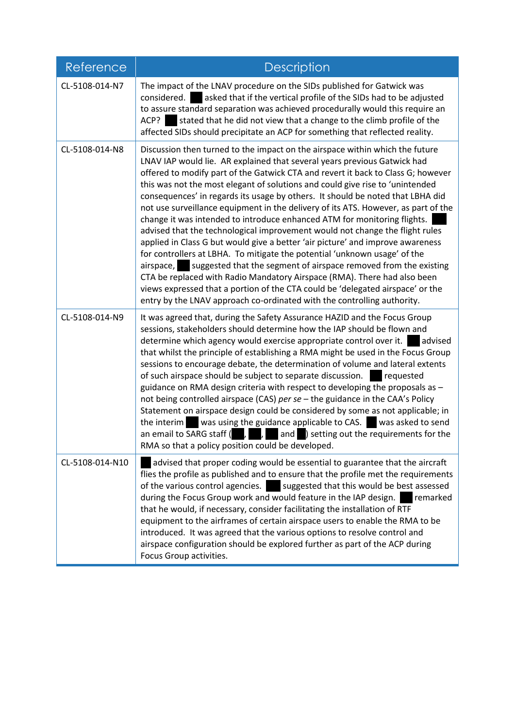| Reference       | <b>Description</b>                                                                                                                                                                                                                                                                                                                                                                                                                                                                                                                                                                                                                                                                                                                                                                                                                                                                                                                                                                                                                                                                                                                                         |  |  |
|-----------------|------------------------------------------------------------------------------------------------------------------------------------------------------------------------------------------------------------------------------------------------------------------------------------------------------------------------------------------------------------------------------------------------------------------------------------------------------------------------------------------------------------------------------------------------------------------------------------------------------------------------------------------------------------------------------------------------------------------------------------------------------------------------------------------------------------------------------------------------------------------------------------------------------------------------------------------------------------------------------------------------------------------------------------------------------------------------------------------------------------------------------------------------------------|--|--|
| CL-5108-014-N7  | The impact of the LNAV procedure on the SIDs published for Gatwick was<br>asked that if the vertical profile of the SIDs had to be adjusted<br>considered.<br>to assure standard separation was achieved procedurally would this require an<br>stated that he did not view that a change to the climb profile of the<br>ACP?<br>affected SIDs should precipitate an ACP for something that reflected reality.                                                                                                                                                                                                                                                                                                                                                                                                                                                                                                                                                                                                                                                                                                                                              |  |  |
| CL-5108-014-N8  | Discussion then turned to the impact on the airspace within which the future<br>LNAV IAP would lie. AR explained that several years previous Gatwick had<br>offered to modify part of the Gatwick CTA and revert it back to Class G; however<br>this was not the most elegant of solutions and could give rise to 'unintended<br>consequences' in regards its usage by others. It should be noted that LBHA did<br>not use surveillance equipment in the delivery of its ATS. However, as part of the<br>change it was intended to introduce enhanced ATM for monitoring flights.<br>advised that the technological improvement would not change the flight rules<br>applied in Class G but would give a better 'air picture' and improve awareness<br>for controllers at LBHA. To mitigate the potential 'unknown usage' of the<br>suggested that the segment of airspace removed from the existing<br>airspace,<br>CTA be replaced with Radio Mandatory Airspace (RMA). There had also been<br>views expressed that a portion of the CTA could be 'delegated airspace' or the<br>entry by the LNAV approach co-ordinated with the controlling authority. |  |  |
| CL-5108-014-N9  | It was agreed that, during the Safety Assurance HAZID and the Focus Group<br>sessions, stakeholders should determine how the IAP should be flown and<br>determine which agency would exercise appropriate control over it. advised<br>that whilst the principle of establishing a RMA might be used in the Focus Group<br>sessions to encourage debate, the determination of volume and lateral extents<br>of such airspace should be subject to separate discussion.<br>requested<br>guidance on RMA design criteria with respect to developing the proposals as -<br>not being controlled airspace (CAS) per se - the guidance in the CAA's Policy<br>Statement on airspace design could be considered by some as not applicable; in<br>was using the guidance applicable to CAS. Was asked to send<br>the interim<br>an email to SARG staff $( , , , , \cdot , )$ and $( )$ setting out the requirements for the<br>RMA so that a policy position could be developed.                                                                                                                                                                                   |  |  |
| CL-5108-014-N10 | advised that proper coding would be essential to guarantee that the aircraft<br>flies the profile as published and to ensure that the profile met the requirements<br>of the various control agencies.<br>suggested that this would be best assessed<br>during the Focus Group work and would feature in the IAP design.<br>remarked<br>that he would, if necessary, consider facilitating the installation of RTF<br>equipment to the airframes of certain airspace users to enable the RMA to be<br>introduced. It was agreed that the various options to resolve control and<br>airspace configuration should be explored further as part of the ACP during<br>Focus Group activities.                                                                                                                                                                                                                                                                                                                                                                                                                                                                  |  |  |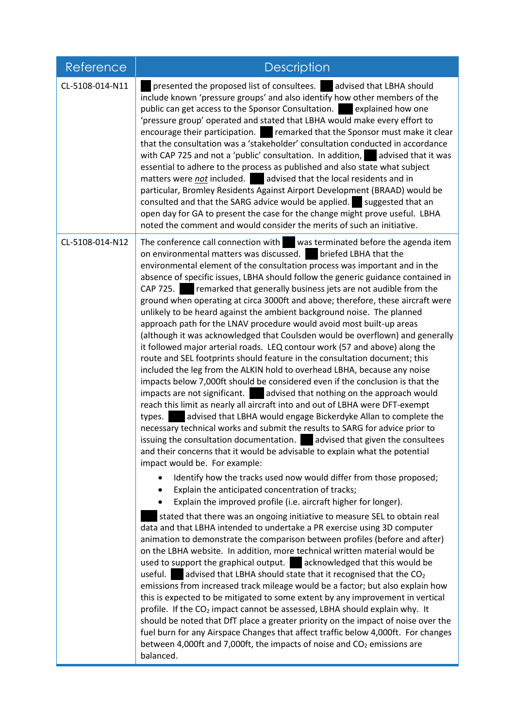| Reference       | <b>Description</b>                                                                                                                                                                                                                                                                                                                                                                                                                                                                                                                                                                                                                                                                                                                                                                                                                                                                                                                                                                                                                                                                                                                                                                                                                                                                                                                                                                                                                                                                                                                                                                                                                                                                                                                                                                                                                                                                                                                                                                                                                                                                                                                                                                                                                                                                                                                                                                                                                                                                                                                                                                                                                                                                                                                                                                                     |  |  |
|-----------------|--------------------------------------------------------------------------------------------------------------------------------------------------------------------------------------------------------------------------------------------------------------------------------------------------------------------------------------------------------------------------------------------------------------------------------------------------------------------------------------------------------------------------------------------------------------------------------------------------------------------------------------------------------------------------------------------------------------------------------------------------------------------------------------------------------------------------------------------------------------------------------------------------------------------------------------------------------------------------------------------------------------------------------------------------------------------------------------------------------------------------------------------------------------------------------------------------------------------------------------------------------------------------------------------------------------------------------------------------------------------------------------------------------------------------------------------------------------------------------------------------------------------------------------------------------------------------------------------------------------------------------------------------------------------------------------------------------------------------------------------------------------------------------------------------------------------------------------------------------------------------------------------------------------------------------------------------------------------------------------------------------------------------------------------------------------------------------------------------------------------------------------------------------------------------------------------------------------------------------------------------------------------------------------------------------------------------------------------------------------------------------------------------------------------------------------------------------------------------------------------------------------------------------------------------------------------------------------------------------------------------------------------------------------------------------------------------------------------------------------------------------------------------------------------------------|--|--|
| CL-5108-014-N11 | presented the proposed list of consultees. advised that LBHA should<br>include known 'pressure groups' and also identify how other members of the<br>public can get access to the Sponsor Consultation. explained how one<br>'pressure group' operated and stated that LBHA would make every effort to<br>encourage their participation. The remarked that the Sponsor must make it clear<br>that the consultation was a 'stakeholder' consultation conducted in accordance<br>with CAP 725 and not a 'public' consultation. In addition, advised that it was<br>essential to adhere to the process as published and also state what subject<br>matters were not included. advised that the local residents and in<br>particular, Bromley Residents Against Airport Development (BRAAD) would be<br>consulted and that the SARG advice would be applied. Suggested that an<br>open day for GA to present the case for the change might prove useful. LBHA<br>noted the comment and would consider the merits of such an initiative.                                                                                                                                                                                                                                                                                                                                                                                                                                                                                                                                                                                                                                                                                                                                                                                                                                                                                                                                                                                                                                                                                                                                                                                                                                                                                                                                                                                                                                                                                                                                                                                                                                                                                                                                                                    |  |  |
| CL-5108-014-N12 | The conference call connection with was terminated before the agenda item<br>on environmental matters was discussed.<br>briefed LBHA that the<br>environmental element of the consultation process was important and in the<br>absence of specific issues, LBHA should follow the generic guidance contained in<br>CAP 725. remarked that generally business jets are not audible from the<br>ground when operating at circa 3000ft and above; therefore, these aircraft were<br>unlikely to be heard against the ambient background noise. The planned<br>approach path for the LNAV procedure would avoid most built-up areas<br>(although it was acknowledged that Coulsden would be overflown) and generally<br>it followed major arterial roads. LEQ contour work (57 and above) along the<br>route and SEL footprints should feature in the consultation document; this<br>included the leg from the ALKIN hold to overhead LBHA, because any noise<br>impacts below 7,000ft should be considered even if the conclusion is that the<br>impacts are not significant. advised that nothing on the approach would<br>reach this limit as nearly all aircraft into and out of LBHA were DFT-exempt<br>advised that LBHA would engage Bickerdyke Allan to complete the<br>types.<br>necessary technical works and submit the results to SARG for advice prior to<br>issuing the consultation documentation.<br>advised that given the consultees<br>and their concerns that it would be advisable to explain what the potential<br>impact would be. For example:<br>Identify how the tracks used now would differ from those proposed;<br>Explain the anticipated concentration of tracks;<br>Explain the improved profile (i.e. aircraft higher for longer).<br>stated that there was an ongoing initiative to measure SEL to obtain real<br>data and that LBHA intended to undertake a PR exercise using 3D computer<br>animation to demonstrate the comparison between profiles (before and after)<br>on the LBHA website. In addition, more technical written material would be<br>used to support the graphical output.<br>acknowledged that this would be<br>advised that LBHA should state that it recognised that the CO <sub>2</sub><br>useful.<br>emissions from increased track mileage would be a factor; but also explain how<br>this is expected to be mitigated to some extent by any improvement in vertical<br>profile. If the CO <sub>2</sub> impact cannot be assessed, LBHA should explain why. It<br>should be noted that DfT place a greater priority on the impact of noise over the<br>fuel burn for any Airspace Changes that affect traffic below 4,000ft. For changes<br>between 4,000ft and 7,000ft, the impacts of noise and CO <sub>2</sub> emissions are<br>balanced. |  |  |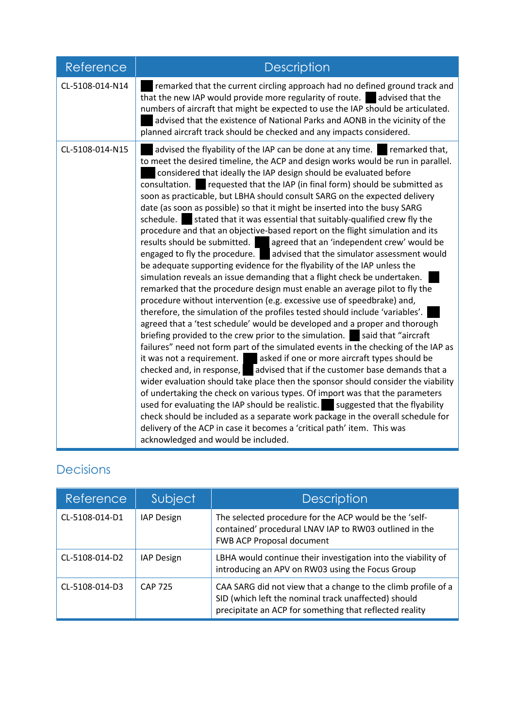| Reference       | <b>Description</b>                                                                                                                                                                                                                                                                                                                                                                                                                                                                                                                                                                                                                                                                                                                                                                                                                                                                                                                                                                                                                                                                                                                                                                                                                                                                                                                                                                                                                                                                                                                                                                                                                                                                                                                                                                                                                                                                                                                                                                                                                                                                            |  |  |
|-----------------|-----------------------------------------------------------------------------------------------------------------------------------------------------------------------------------------------------------------------------------------------------------------------------------------------------------------------------------------------------------------------------------------------------------------------------------------------------------------------------------------------------------------------------------------------------------------------------------------------------------------------------------------------------------------------------------------------------------------------------------------------------------------------------------------------------------------------------------------------------------------------------------------------------------------------------------------------------------------------------------------------------------------------------------------------------------------------------------------------------------------------------------------------------------------------------------------------------------------------------------------------------------------------------------------------------------------------------------------------------------------------------------------------------------------------------------------------------------------------------------------------------------------------------------------------------------------------------------------------------------------------------------------------------------------------------------------------------------------------------------------------------------------------------------------------------------------------------------------------------------------------------------------------------------------------------------------------------------------------------------------------------------------------------------------------------------------------------------------------|--|--|
| CL-5108-014-N14 | remarked that the current circling approach had no defined ground track and<br>that the new IAP would provide more regularity of route. advised that the<br>numbers of aircraft that might be expected to use the IAP should be articulated.<br>advised that the existence of National Parks and AONB in the vicinity of the<br>planned aircraft track should be checked and any impacts considered.                                                                                                                                                                                                                                                                                                                                                                                                                                                                                                                                                                                                                                                                                                                                                                                                                                                                                                                                                                                                                                                                                                                                                                                                                                                                                                                                                                                                                                                                                                                                                                                                                                                                                          |  |  |
| CL-5108-014-N15 | advised the flyability of the IAP can be done at any time. remarked that,<br>to meet the desired timeline, the ACP and design works would be run in parallel.<br>considered that ideally the IAP design should be evaluated before<br>requested that the IAP (in final form) should be submitted as<br>consultation.<br>soon as practicable, but LBHA should consult SARG on the expected delivery<br>date (as soon as possible) so that it might be inserted into the busy SARG<br>schedule.<br>stated that it was essential that suitably-qualified crew fly the<br>procedure and that an objective-based report on the flight simulation and its<br>results should be submitted. agreed that an 'independent crew' would be<br>engaged to fly the procedure.<br>advised that the simulator assessment would<br>be adequate supporting evidence for the flyability of the IAP unless the<br>simulation reveals an issue demanding that a flight check be undertaken.<br>remarked that the procedure design must enable an average pilot to fly the<br>procedure without intervention (e.g. excessive use of speedbrake) and,<br>therefore, the simulation of the profiles tested should include 'variables'.<br>agreed that a 'test schedule' would be developed and a proper and thorough<br>briefing provided to the crew prior to the simulation. Said that "aircraft"<br>failures" need not form part of the simulated events in the checking of the IAP as<br>it was not a requirement. asked if one or more aircraft types should be<br>checked and, in response, $\Box$ advised that if the customer base demands that a<br>wider evaluation should take place then the sponsor should consider the viability<br>of undertaking the check on various types. Of import was that the parameters<br>used for evaluating the IAP should be realistic. suggested that the flyability<br>check should be included as a separate work package in the overall schedule for<br>delivery of the ACP in case it becomes a 'critical path' item. This was<br>acknowledged and would be included. |  |  |

## Decisions

| Reference      | Subject           | <b>Description</b>                                                                                                                                                               |  |
|----------------|-------------------|----------------------------------------------------------------------------------------------------------------------------------------------------------------------------------|--|
| CL-5108-014-D1 | <b>IAP Design</b> | The selected procedure for the ACP would be the 'self-<br>contained' procedural LNAV IAP to RW03 outlined in the<br>FWB ACP Proposal document                                    |  |
| CL-5108-014-D2 | IAP Design        | LBHA would continue their investigation into the viability of<br>introducing an APV on RW03 using the Focus Group                                                                |  |
| CL-5108-014-D3 | <b>CAP 725</b>    | CAA SARG did not view that a change to the climb profile of a<br>SID (which left the nominal track unaffected) should<br>precipitate an ACP for something that reflected reality |  |